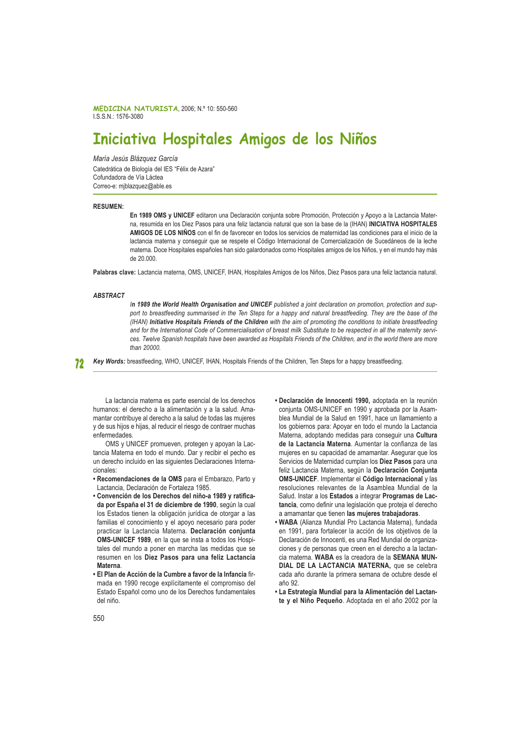MEDICINA NATURISTA, 2006; N.º 10: 550-560 ISSN 1576-3080

# Iniciativa Hospitales Amigos de los Niños

María Jesús Blázquez García

Catedrática de Biología del IES "Félix de Azara" Cofundadora de Vía Láctea Correo-e: miblazquez@able.es

#### **RESUMEN:**

En 1989 OMS y UNICEF editaron una Declaración conjunta sobre Promoción, Protección y Apoyo a la Lactancia Materna, resumida en los Diez Pasos para una feliz lactancia natural que son la base de la (IHAN) INICIATIVA HOSPITALES AMIGOS DE LOS NIÑOS con el fin de favorecer en todos los servicios de maternidad las condiciones para el inicio de la lactancia materna y conseguir que se respete el Código Internacional de Comercialización de Sucedáneos de la leche materna. Doce Hospitales españoles han sido galardonados como Hospitales amigos de los Niños, y en el mundo hay más de 20.000.

Palabras clave: Lactancia materna, OMS, UNICEF, IHAN, Hospitales Amigos de los Niños, Diez Pasos para una feliz lactancia natural.

#### **ARSTRACT**

In 1989 the World Health Organisation and UNICEF published a joint declaration on promotion, protection and support to breastfeeding summarised in the Ten Steps for a happy and natural breastfeeding. They are the base of the (IHAN) Initiative Hospitals Friends of the Children with the aim of promoting the conditions to initiate breastfeeding and for the International Code of Commercialisation of breast milk Substitute to be respected in all the maternity services. Twelve Spanish hospitals have been awarded as Hospitals Friends of the Children. and in the world there are more than 20000.

Key Words: breastfeeding, WHO, UNICEF, IHAN, Hospitals Friends of the Children, Ten Steps for a happy breastfeeding. 72

La lactancia materna es parte esencial de los derechos humanos: el derecho a la alimentación y a la salud. Amamantar contribuye al derecho a la salud de todas las mujeres y de sus hijos e hijas, al reducir el riesgo de contraer muchas enfermedades.

OMS y UNICEF promueven, protegen y apoyan la Lactancia Materna en todo el mundo. Dar y recibir el pecho es un derecho incluido en las siguientes Declaraciones Internacionales:

- · Recomendaciones de la OMS para el Embarazo, Parto y Lactancia. Declaración de Fortaleza 1985.
- Convención de los Derechos del niño-a 1989 y ratificada por España el 31 de diciembre de 1990, según la cual los Estados tienen la obligación jurídica de otorgar a las familias el conocimiento y el apoyo necesario para poder practicar la Lactancia Materna. Declaración conjunta OMS-UNICEF 1989, en la que se insta a todos los Hospitales del mundo a poner en marcha las medidas que se resumen en los Diez Pasos para una feliz Lactancia **Materna**
- · El Plan de Acción de la Cumbre a favor de la Infancia firmada en 1990 recoge explícitamente el compromiso del Estado Español como uno de los Derechos fundamentales del niño.
- · Declaración de Innocenti 1990, adoptada en la reunión coniunta OMS-UNICEF en 1990 y aprobada por la Asamblea Mundial de la Salud en 1991, hace un llamamiento a los gobiernos para: Apoyar en todo el mundo la Lactancia Materna, adoptando medidas para conseguir una Cultura de la Lactancia Materna. Aumentar la confianza de las mujeres en su capacidad de amamantar. Asegurar que los Servicios de Maternidad cumplan los Diez Pasos para una feliz Lactancia Materna, según la Declaración Conjunta OMS-UNICEF. Implementar el Código Internacional y las resoluciones relevantes de la Asamblea Mundial de la Salud. Instar a los Estados a integrar Programas de Lactancia, como definir una legislación que proteja el derecho a amamantar que tienen las mujeres trabajadoras.
- WABA (Alianza Mundial Pro Lactancia Materna), fundada en 1991, para fortalecer la acción de los objetivos de la Declaración de Innocenti, es una Red Mundial de organizaciones y de personas que creen en el derecho a la lactancia materna. WABA es la creadora de la SEMANA MUN-DIAL DE LA LACTANCIA MATERNA, que se celebra cada año durante la primera semana de octubre desde el año 92.
- La Estrategia Mundial para la Alimentación del Lactante y el Niño Pequeño. Adoptada en el año 2002 por la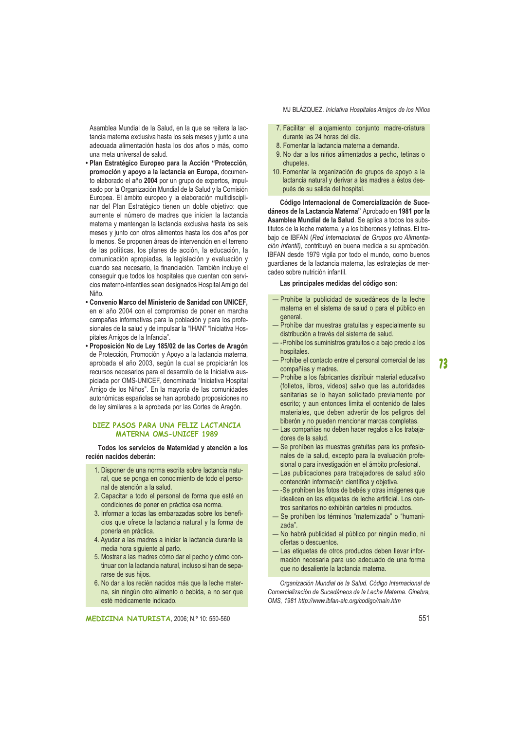Asamblea Mundial de la Salud, en la que se reitera la lactancia materna exclusiva hasta los seis meses y junto a una adecuada alimentación hasta los dos años o más, como bulez eb lezrevinu etem enu

- · Plan Estratégico Europeo para la Acción "Protección, promoción y apoyo a la lactancia en Europa, documento elaborado el año 2004 por un grupo de expertos, impulsado por la Organización Mundial de la Salud y la Comisión Europea. El ámbito europeo y la elaboración multidisciplinar del Plan Estratégico tienen un doble objetivo: que aumente el número de madres que inicien la lactancia materna y mantengan la lactancia exclusiva hasta los seis meses y junto con otros alimentos hasta los dos años por lo menos. Se proponen áreas de intervención en el terreno de las políticas, los planes de acción, la educación, la comunicación apropiadas, la legislación y evaluación y cuando sea necesario, la financiación. También incluye el consequir que todos los hospitales que cuentan con servicios materno-infantiles sean designados Hospital Amigo del Niño.
- Convenio Marco del Ministerio de Sanidad con UNICEF. en el año 2004 con el compromiso de poner en marcha campañas informativas para la población y para los profesionales de la salud y de impulsar la "IHAN" "Iniciativa Hospitales Amigos de la Infancia".
- · Proposición No de Ley 185/02 de las Cortes de Aragón de Protección, Promoción y Apoyo a la lactancia materna, aprobada el año 2003, según la cual se propiciarán los recursos necesarios para el desarrollo de la Iniciativa auspiciada por OMS-UNICEF, denominada "Iniciativa Hospital Amigo de los Niños". En la mayoría de las comunidades autonómicas españolas se han aprobado proposiciones no de ley similares a la aprobada por las Cortes de Aragón.

# DIEZ PASOS PARA UNA FELIZ LACTANCIA **MATERNA OMS-UNICEF 1989**

Todos los servicios de Maternidad y atención a los recién nacidos deberán:

- 1. Disponer de una norma escrita sobre lactancia natural, que se ponga en conocimiento de todo el personal de atención a la salud.
- 2. Capacitar a todo el personal de forma que esté en condiciones de poner en práctica esa norma.
- 3. Informar a todas las embarazadas sobre los beneficios que ofrece la lactancia natural y la forma de ponerla en práctica.
- 4. Ayudar a las madres a iniciar la lactancia durante la media hora siguiente al parto.
- 5. Mostrar a las madres cómo dar el pecho y cómo continuar con la lactancia natural, incluso si han de separarse de sus hijos.
- 6. No dar a los recién nacidos más que la leche materna, sin ningún otro alimento o bebida, a no ser que esté médicamente indicado.

MJ BLÁZQUEZ. Iniciativa Hospitales Amigos de los Niños

- 7. Facilitar el alojamiento conjunto madre-criatura durante las 24 horas del día.
- 8. Fomentar la lactancia materna a demanda.
- 9. No dar a los niños alimentados a pecho, tetinas o chupetes.
- 10. Fomentar la organización de grupos de apoyo a la lactancia natural y derivar a las madres a éstos después de su salida del hospital.

Código Internacional de Comercialización de Sucedáneos de la Lactancia Materna" Aprobado en 1981 por la Asamblea Mundial de la Salud. Se aplica a todos los substitutos de la leche materna, y a los biberones y tetinas. El trabajo de IBFAN (Red Internacional de Grupos pro Alimentación Infantil), contribuyó en buena medida a su aprobación. IBFAN desde 1979 vigila por todo el mundo, como buenos quardianes de la lactancia materna, las estrategias de mercadeo sobre nutrición infantil.

# Las principales medidas del código son:

- Prohíbe la publicidad de sucedáneos de la leche materna en el sistema de salud o para el público en general.
- Prohíbe dar muestras gratuitas y especialmente su distribución a través del sistema de salud.
- --Prohíbe los suministros gratuitos o a bajo precio a los hospitales.
- Prohíbe el contacto entre el personal comercial de las compañías y madres.
- Prohíbe a los fabricantes distribuir material educativo (folletos, libros, videos) salvo que las autoridades sanitarias se lo havan solicitado previamente por escrito; y aun entonces limita el contenido de tales materiales, que deben advertir de los peligros del biberón y no pueden mencionar marcas completas.
- Las compañías no deben hacer regalos a los trabajadores de la salud.
- Se prohíben las muestras gratuitas para los profesionales de la salud, excepto para la evaluación profesional o para investigación en el ámbito profesional.
- Las publicaciones para trabajadores de salud sólo contendrán información científica y objetiva.
- -Se prohíben las fotos de bebés y otras imágenes que idealicen en las etiquetas de leche artificial. Los centros sanitarios no exhibirán carteles ni productos.
- Se prohíben los términos "maternizada" o "humanizada".
- No habrá publicidad al público por ningún medio, ni ofertas o descuentos.
- Las etiquetas de otros productos deben llevar información necesaria para uso adecuado de una forma que no desaliente la lactancia materna.

Organización Mundial de la Salud. Código Internacional de Comercialización de Sucedáneos de la Leche Materna. Ginebra, OMS, 1981 http://www.ibfan-alc.org/codigo/main.htm

73

MEDICINA NATURISTA, 2006; N.º 10: 550-560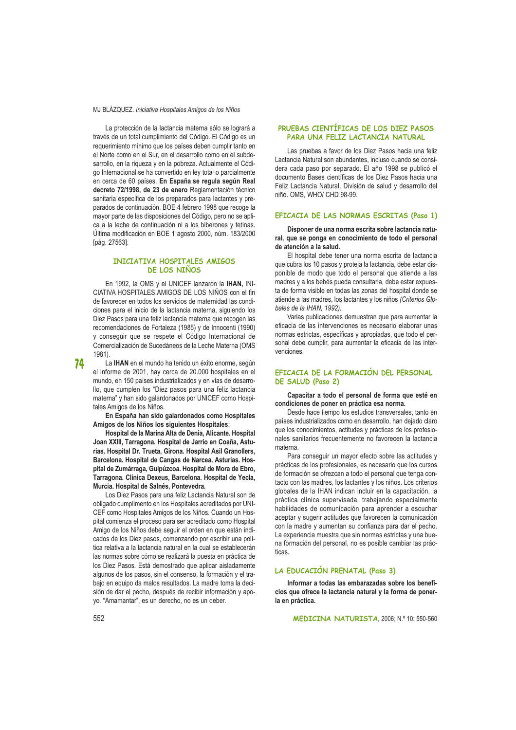La protección de la lactancia materna sólo se logrará a través de un total cumplimiento del Código. El Código es un requerimiento mínimo que los países deben cumplir tanto en el Norte como en el Sur, en el desarrollo como en el subdesarrollo, en la rigueza y en la pobreza. Actualmente el Código Internacional se ha convertido en ley total o parcialmente en cerca de 60 países. En España se regula según Real decreto 72/1998, de 23 de enero Reglamentación técnico sanitaria específica de los preparados para lactantes y preparados de continuación. BOE 4 febrero 1998 que recoge la mayor parte de las disposiciones del Código, pero no se aplica a la leche de continuación ni a los biberones y tetinas. Última modificación en BOE 1 agosto 2000, núm. 183/2000 [pág. 27563].

# INICIATIVA HOSPITALES AMIGOS **DE LOS NIÑOS**

En 1992, la OMS y el UNICEF lanzaron la IHAN, INI-CIATIVA HOSPITALES AMIGOS DE LOS NIÑOS con el fin de favorecer en todos los servicios de maternidad las condiciones para el inicio de la lactancia materna, siguiendo los Diez Pasos para una feliz lactancia materna que recogen las recomendaciones de Fortaleza (1985) y de Innocenti (1990) y conseguir que se respete el Código Internacional de Comercialización de Sucedáneos de la Leche Materna (OMS 1981).

74

La IHAN en el mundo ha tenido un éxito enorme, según el informe de 2001, hay cerca de 20.000 hospitales en el mundo, en 150 países industrializados y en vías de desarrollo, que cumplen los "Diez pasos para una feliz lactancia materna" y han sido galardonados por UNICEF como Hospitales Amigos de los Niños

En España han sido galardonados como Hospitales Amigos de los Niños los siguientes Hospitales:

Hospital de la Marina Alta de Denia, Alicante, Hospital Joan XXIII, Tarragona. Hospital de Jarrio en Coaña, Asturias. Hospital Dr. Trueta, Girona. Hospital Asil Granollers, Barcelona. Hospital de Cangas de Narcea, Asturias. Hospital de Zumárraga, Guipúzcoa. Hospital de Mora de Ebro, Tarragona, Clínica Dexeus, Barcelona, Hospital de Yecla, Murcia. Hospital de Salnés, Pontevedra.

Los Diez Pasos para una feliz Lactancia Natural son de obligado cumplimento en los Hospitales acreditados por UNI-CEF como Hospitales Amigos de los Niños. Cuando un Hospital comienza el proceso para ser acreditado como Hospital Amigo de los Niños debe seguir el orden en que están indicados de los Diez pasos, comenzando por escribir una política relativa a la lactancia natural en la cual se establecerán las normas sobre cómo se realizará la puesta en práctica de los Diez Pasos. Está demostrado que aplicar aisladamente algunos de los pasos, sin el consenso, la formación y el trabajo en equipo da malos resultados. La madre toma la decisión de dar el pecho, después de recibir información y apoyo. "Amamantar", es un derecho, no es un deber.

# PRUEBAS CIENTÍFICAS DE LOS DIEZ PASOS PARA UNA FELIZ LACTANCIA NATURAL

Las pruebas a favor de los Diez Pasos hacia una feliz Lactancia Natural son abundantes, incluso cuando se considera cada paso por separado. El año 1998 se publicó el documento Bases científicas de los Diez Pasos hacia una Feliz Lactancia Natural. División de salud y desarrollo del niño. OMS, WHO/ CHD 98-99.

#### EFICACIA DE LAS NORMAS ESCRITAS (Paso 1)

Disponer de una norma escrita sobre lactancia natural, que se ponga en conocimiento de todo el personal de atención a la salud.

El hospital debe tener una norma escrita de lactancia que cubra los 10 pasos y proteja la lactancia, debe estar disponible de modo que todo el personal que atiende a las madres y a los bebés pueda consultarla, debe estar expuesta de forma visible en todas las zonas del hospital donde se atiende a las madres, los lactantes y los niños (Criterios Globales de la IHAN, 1992).

Varias publicaciones demuestran que para aumentar la eficacia de las intervenciones es necesario elaborar unas normas estrictas, específicas y apropiadas, que todo el personal debe cumplir, para aumentar la eficacia de las intervenciones

# EFICACIA DE LA FORMACIÓN DEL PERSONAL DE SALUD (Paso 2)

Capacitar a todo el personal de forma que esté en condiciones de poner en práctica esa norma.

Desde hace tiempo los estudios transversales, tanto en países industrializados como en desarrollo, han dejado claro que los conocimientos, actitudes y prácticas de los profesionales sanitarios frecuentemente no favorecen la lactancia materna

Para conseguir un mayor efecto sobre las actitudes y prácticas de los profesionales, es necesario que los cursos de formación se ofrezcan a todo el personal que tenga contacto con las madres, los lactantes y los niños. Los criterios globales de la IHAN indican incluir en la capacitación. la práctica clínica supervisada, trabajando especialmente habilidades de comunicación para aprender a escuchar aceptar y sugerir actitudes que favorecen la comunicación con la madre y aumentan su confianza para dar el pecho. La experiencia muestra que sin normas estrictas y una buena formación del personal, no es posible cambiar las prácticas.

# LA EDUCACIÓN PRENATAL (Paso 3)

Informar a todas las embarazadas sobre los beneficios que ofrece la lactancia natural y la forma de ponerla en práctica.

MEDICINA NATURISTA, 2006; N.º 10: 550-560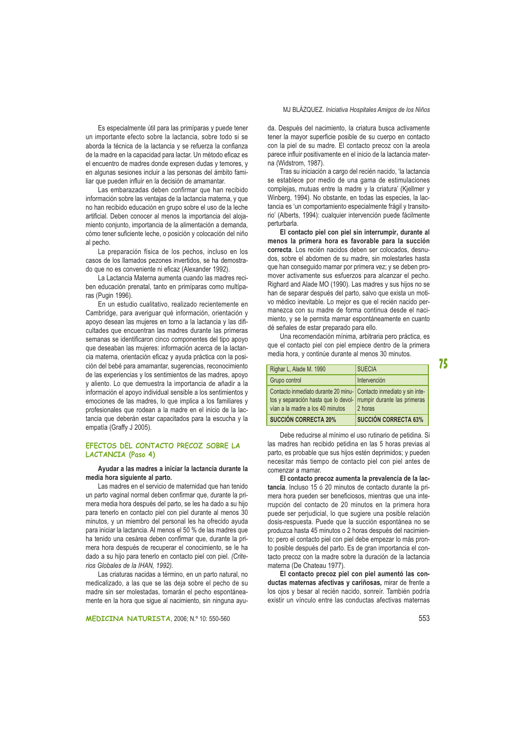Es especialmente útil para las primíparas y puede tener un importante efecto sobre la lactancia, sobre todo si se aborda la técnica de la lactancia y se refuerza la confianza de la madre en la capacidad para lactar. Un método eficaz es el encuentro de madres donde expresen dudas y temores, y en algunas sesiones incluir a las personas del ámbito familiar que pueden influir en la decisión de amamantar.

Las embarazadas deben confirmar que han recibido información sobre las ventajas de la lactancia materna, y que no han recibido educación en grupo sobre el uso de la leche artificial. Deben conocer al menos la importancia del alojamiento conjunto, importancia de la alimentación a demanda, cómo tener suficiente leche, o posición y colocación del niño al pecho.

La preparación física de los pechos, incluso en los casos de los llamados pezones invertidos, se ha demostrado que no es conveniente ni eficaz (Alexander 1992).

La Lactancia Materna aumenta cuando las madres reciben educación prenatal, tanto en primíparas como multíparas (Pugin 1996)

En un estudio cualitativo, realizado recientemente en Cambridge, para averiguar qué información, orientación y apoyo desean las mujeres en torno a la lactancia y las dificultades que encuentran las madres durante las primeras semanas se identificaron cinco componentes del tipo apovo que deseaban las muieres: información acerca de la lactancia materna, orientación eficaz y ayuda práctica con la posición del bebé para amamantar, sugerencias, reconocimiento de las experiencias y los sentimientos de las madres, apoyo y aliento. Lo que demuestra la importancia de añadir a la información el apovo individual sensible a los sentimientos y emociones de las madres, lo que implica a los familiares y profesionales que rodean a la madre en el inicio de la lactancia que deberán estar capacitados para la escucha y la empatía (Graffy J 2005).

# EFECTOS DEL CONTACTO PRECOZ SOBRE LA LACTANCIA (Paso 4)

# Ayudar a las madres a iniciar la lactancia durante la media hora siguiente al parto.

Las madres en el servicio de maternidad que han tenido un parto vaginal normal deben confirmar que, durante la primera media hora después del parto, se les ha dado a su hijo para tenerlo en contacto piel con piel durante al menos 30 minutos, y un miembro del personal les ha ofrecido ayuda para iniciar la lactancia. Al menos el 50 % de las madres que ha tenido una cesárea deben confirmar que, durante la primera hora después de recuperar el conocimiento, se le ha dado a su hijo para tenerlo en contacto piel con piel. (Criterios Globales de la IHAN, 1992).

Las criaturas nacidas a término, en un parto natural, no medicalizado, a las que se las deja sobre el pecho de su madre sin ser molestadas, tomarán el pecho espontáneamente en la hora que sigue al nacimiento, sin ninguna ayuda. Después del nacimiento, la criatura busca activamente tener la mayor superficie posible de su cuerpo en contacto con la piel de su madre. El contacto precoz con la areola parece influir positivamente en el inicio de la lactancia materna (Widstrom, 1987).

Tras su iniciación a cargo del recién nacido, 'la lactancia se establece por medio de una gama de estimulaciones complejas, mutuas entre la madre y la criatura' (Kjellmer y Winberg, 1994). No obstante, en todas las especies, la lactancia es 'un comportamiento especialmente frágil y transitorio' (Alberts, 1994): cualquier intervención puede fácilmente perturbarla.

El contacto piel con piel sin interrumpir, durante al menos la primera hora es favorable para la succión correcta. Los recién nacidos deben ser colocados, desnudos, sobre el abdomen de su madre, sin molestarles hasta que han conseguido mamar por primera vez; y se deben promover activamente sus esfuerzos para alcanzar el pecho Righard and Alade MO (1990). Las madres y sus hijos no se han de separar después del parto, salvo que exista un motivo médico inevitable. Lo mejor es que el recién nacido permanezca con su madre de forma continua desde el nacimiento, y se le permita mamar espontáneamente en cuanto dé señales de estar preparado para ello.

Una recomendación mínima, arbitraria pero práctica, es que el contacto piel con piel empiece dentro de la primera media hora, y continúe durante al menos 30 minutos.

| vían a la madre a los 40 minutos<br><b>SUCCIÓN CORRECTA 20%</b>                                                                          | 2 horas<br><b>SUCCIÓN CORRECTA 63%</b> |
|------------------------------------------------------------------------------------------------------------------------------------------|----------------------------------------|
| Contacto inmediato durante 20 minu - Contacto inmediato y sin inte-<br>tos y separación hasta que lo devol- rrumpir durante las primeras |                                        |
| Grupo control                                                                                                                            | Intervención                           |
| Righar L, Alade M. 1990                                                                                                                  | <b>SUECIA</b>                          |

Debe reducirse al mínimo el uso rutinario de petidina. Si las madres han recibido petidina en las 5 horas previas al parto, es probable que sus hijos estén deprimidos; y pueden necesitar más tiempo de contacto piel con piel antes de comenzar a mamar.

El contacto precoz aumenta la prevalencia de la lactancia. Incluso 15 ó 20 minutos de contacto durante la primera hora pueden ser beneficiosos, mientras que una interrupción del contacto de 20 minutos en la primera hora puede ser perjudicial, lo que sugiere una posible relación dosis-respuesta. Puede que la succión espontánea no se produzca hasta 45 minutos o 2 horas después del nacimiento; pero el contacto piel con piel debe empezar lo más pronto posible después del parto. Es de gran importancia el contacto precoz con la madre sobre la duración de la lactancia materna (De Chateau 1977)

El contacto precoz piel con piel aumentó las conductas maternas afectivas y cariñosas, mirar de frente a los ojos y besar al recién nacido, sonreír. También podría existir un vínculo entre las conductas afectivas maternas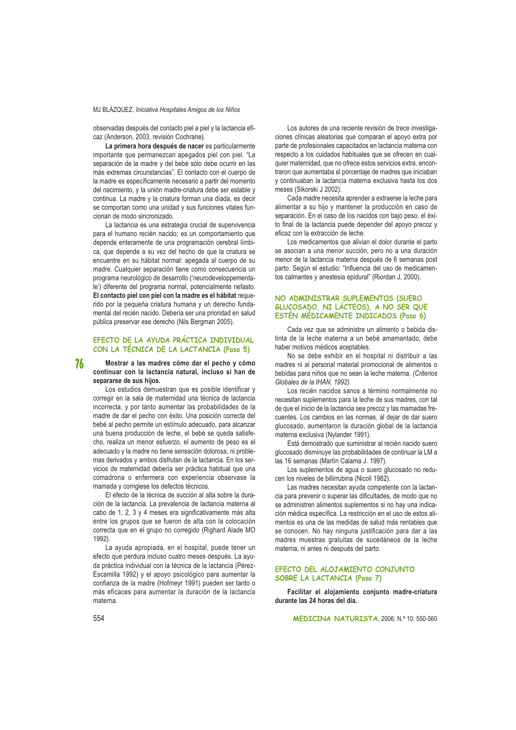observadas después del contacto piel a piel y la lactancia eficaz (Anderson, 2003, revisión Cochrane).

La primera hora después de nacer es particularmente importante que permanezcan apegados piel con piel. "La separación de la madre y del bebé sólo debe ocurrir en las más extremas circunstancias". El contacto con el cuerpo de la madre es específicamente necesario a partir del momento del nacimiento, y la unión madre-criatura debe ser estable y continua. La madre y la criatura forman una díada, es decir se comportan como una unidad y sus funciones vitales funcionan de modo sincronizado.

La lactancia es una estrategia crucial de supervivencia para el humano recién nacido: es un comportamiento que depende enteramente de una programación cerebral límbica, que depende a su vez del hecho de que la criatura se encuentre en su hábitat normal: apegada al cuerpo de su madre. Cualquier separación tiene como consecuencia un programa neurológico de desarrollo ('neurodeveloppementale') diferente del programa normal, potencialmente nefasto. El contacto piel con piel con la madre es el hábitat requerido por la pequeña criatura humana y un derecho fundamental del recién nacido. Debería ser una prioridad en salud pública preservar ese derecho (Nils Bergman 2005).

# EFECTO DE LA AYUDA PRÁCTICA INDIVIDUAL CON LA TÉCNICA DE LA LACTANCIA (Paso 5)

76 Mostrar a las madres cómo dar el pecho y cómo continuar con la lactancia natural, incluso si han de separarse de sus hijos.

Los estudios demuestran que es posible identificar y corregir en la sala de maternidad una técnica de lactancia incorrecta, y por tanto aumentar las probabilidades de la madre de dar el pecho con éxito. Una posición correcta del bebé al pecho permite un estímulo adecuado, para alcanzar una buena producción de leche, el bebé se queda satisfecho, realiza un menor esfuerzo, el aumento de peso es el adecuado y la madre no tiene sensación dolorosa, ni problemas derivados y ambos disfrutan de la lactancia. En los servicios de maternidad debería ser práctica habitual que una comadrona o enfermera con experiencia observase la mamada y corrigiese los defectos técnicos.

El efecto de la técnica de succión al alta sobre la duración de la lactancia. La prevalencia de lactancia materna al cabo de 1, 2, 3 y 4 meses era significativamente más alta entre los grupos que se fueron de alta con la colocación correcta que en el grupo no corregido (Righard Alade MO 1992).

La ayuda apropiada, en el hospital, puede tener un efecto que perdura incluso cuatro meses después. La ayuda práctica individual con la técnica de la lactancia (Pérez-Escamilla 1992) y el apoyo psicológico para aumentar la confianza de la madre (Hofmeyr 1991) pueden ser tanto o más eficaces para aumentar la duración de la lactancia materna.

Los autores de una reciente revisión de trece investigaciones clínicas aleatorias que comparan el apoyo extra por parte de profesionales capacitados en lactancia materna con respecto a los cuidados habituales que se ofrecen en cualquier maternidad, que no ofrece estos servicios extra, encontraron que aumentaba el porcentaje de madres que iniciaban y continuaban la lactancia materna exclusiva hasta los dos meses (Sikorski J 2002).

Cada madre necesita aprender a extraerse la leche para alimentar a su hijo y mantener la producción en caso de separación. En el caso de los nacidos con bajo peso, el éxito final de la lactancia puede depender del apoyo precoz y eficaz con la extracción de leche.

Los medicamentos que alivian el dolor durante el parto se asocian a una menor succión, pero no a una duración menor de la lactancia materna después de 6 semanas post parto. Según el estudio: "Influencia del uso de medicamentos calmantes y anestesia epidural" (Riordan J. 2000).

# NO ADMINISTRAR SUPLEMENTOS (SUERO GLUCOSADO. NI LÁCTEOS). A NO SER QUE ESTÉN MÉDICAMENTE INDICADOS (Paso 6)

Cada vez que se administre un alimento o bebida distinta de la leche materna a un bebé amamantado, debe haber motivos médicos aceptables.

No se debe exhibir en el hospital ni distribuir a las madres ni al personal material promocional de alimentos o bebidas para niños que no sean la leche materna. (Criterios Globales de la IHAN, 1992).

Los recién nacidos sanos a término normalmente no necesitan suplementos para la leche de sus madres, con tal de que el inicio de la lactancia sea precoz y las mamadas frecuentes. Los cambios en las normas, al deiar de dar suero glucosado, aumentaron la duración global de la lactancia materna exclusiva (Nylander 1991).

Está demostrado que suministrar al recién nacido suero glucosado disminuve las probabilidades de continuar la LM a las 16 semanas (Martín Calama J. 1997).

Los suplementos de agua o suero glucosado no reducen los niveles de billirrubina (Nicoll 1982).

Las madres necesitan ayuda competente con la lactancia para prevenir o superar las dificultades, de modo que no se administren alimentos suplementos si no hay una indicación médica específica. La restricción en el uso de estos alimentos es una de las medidas de salud más rentables que se conocen. No hay ninguna justificación para dar a las madres muestras gratuitas de sucedáneos de la leche materna, ni antes ni después del parto.

# EFECTO DEL ALOJAMIENTO CONJUNTO SOBRE LA LACTANCIA (Paso 7)

Facilitar el alojamiento conjunto madre-criatura durante las 24 horas del día.

MEDICINA NATURISTA, 2006; N.º 10: 550-560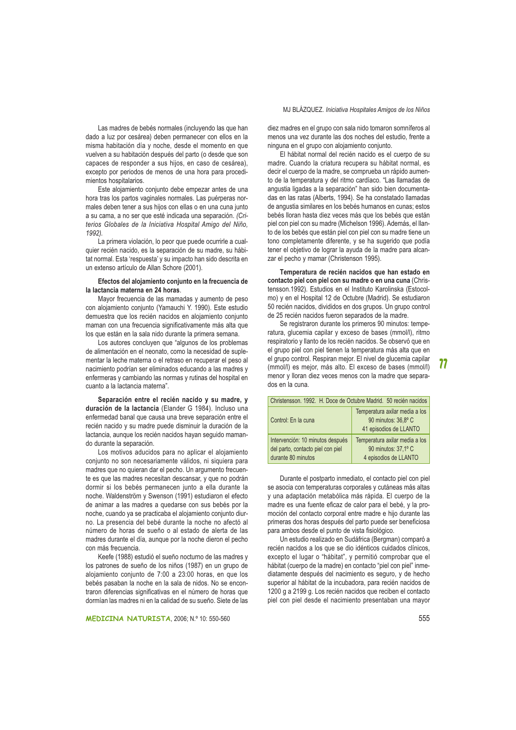Las madres de bebés normales (incluyendo las que han dado a luz por cesárea) deben permanecer con ellos en la misma habitación día y noche, desde el momento en que vuelven a su habitación después del parto (o desde que son capaces de responder a sus hijos, en caso de cesárea), excepto por periodos de menos de una hora para procedimientos hospitalarios.

Este aloiamiento coniunto debe empezar antes de una hora tras los partos vaginales normales. Las puérperas normales deben tener a sus hijos con ellas o en una cuna junto a su cama, a no ser que esté indicada una separación. (Criterios Globales de la Iniciativa Hospital Amigo del Niño. 1992).

La primera violación, lo peor que puede ocurrirle a cualquier recién nacido, es la separación de su madre, su hábitat normal. Esta 'respuesta' y su impacto han sido descrita en un extenso artículo de Allan Schore (2001).

#### Efectos del alojamiento conjunto en la frecuencia de la lactancia materna en 24 horas.

Mayor frecuencia de las mamadas y aumento de peso con alojamiento conjunto (Yamauchi Y. 1990). Este estudio demuestra que los recién nacidos en alojamiento conjunto maman con una frecuencia significativamente más alta que los que están en la sala nido durante la primera semana.

Los autores concluyen que "algunos de los problemas de alimentación en el neonato, como la necesidad de suplementar la leche materna o el retraso en recuperar el peso al nacimiento podrían ser eliminados educando a las madres y enfermeras y cambiando las normas y rutinas del hospital en cuanto a la lactancia materna".

Separación entre el recién nacido y su madre, y duración de la lactancia (Elander G 1984). Incluso una enfermedad banal que causa una breve separación entre el recién nacido y su madre puede disminuir la duración de la lactancia, aunque los recién nacidos hayan seguido mamando durante la separación.

Los motivos aducidos para no aplicar el alojamiento conjunto no son necesariamente válidos, ni siguiera para madres que no quieran dar el pecho. Un argumento frecuente es que las madres necesitan descansar, y que no podrán dormir si los bebés permanecen junto a ella durante la noche. Waldenström y Swenson (1991) estudiaron el efecto de animar a las madres a quedarse con sus bebés por la noche, cuando ya se practicaba el alojamiento conjunto diurno. La presencia del bebé durante la noche no afectó al número de horas de sueño o al estado de alerta de las madres durante el día, aunque por la noche dieron el pecho con más frecuencia

Keefe (1988) estudió el sueño nocturno de las madres y los patrones de sueño de los niños (1987) en un grupo de alojamiento conjunto de 7:00 a 23:00 horas, en que los bebés pasaban la noche en la sala de nidos. No se encontraron diferencias significativas en el número de horas que dormían las madres ni en la calidad de su sueño. Siete de las

# MJ BLÁZQUEZ. Iniciativa Hospitales Amigos de los Niños

diez madres en el grupo con sala nido tomaron somníferos al menos una vez durante las dos noches del estudio, frente a ninguna en el grupo con alojamiento conjunto.

El hábitat normal del recién nacido es el cuerpo de su madre. Cuando la criatura recupera su hábitat normal, es decir el cuerpo de la madre, se comprueba un rápido aumento de la temperatura y del ritmo cardíaco. "Las llamadas de angustia ligadas a la separación" han sido bien documentadas en las ratas (Alberts, 1994). Se ha constatado llamadas de angustia similares en los bebés humanos en cunas: estos bebés lloran hasta diez veces más que los bebés que están piel con piel con su madre (Michelson 1996). Además, el llanto de los bebés que están piel con piel con su madre tiene un tono completamente diferente, y se ha sugerido que podía tener el objetivo de lograr la ayuda de la madre para alcanzar el pecho y mamar (Christenson 1995).

Temperatura de recién nacidos que han estado en contacto piel con piel con su madre o en una cuna (Christensson.1992). Estudios en el Instituto Karolinska (Estocolmo) y en el Hospital 12 de Octubre (Madrid). Se estudiaron 50 recién nacidos, divididos en dos grupos. Un grupo control de 25 recién nacidos fueron separados de la madre.

Se registraron durante los primeros 90 minutos: temperatura, glucemia capilar y exceso de bases (mmol/l), ritmo respiratorio y llanto de los recién nacidos. Se observó que en el grupo piel con piel tienen la temperatura más alta que en el grupo control. Respiran mejor. El nivel de glucemia capilar (mmol/l) es mejor, más alto. El exceso de bases (mmol/l) menor y lloran diez veces menos con la madre que separados en la cuna.

# <u>and the community of the community of the community of the community of the community of the community of the community of the community of the community of the community of the community of the community of the community</u>

| Christensson, 1992. H. Doce de Octubre Madrid. 50 recién nacidos                            |                                                                                 |
|---------------------------------------------------------------------------------------------|---------------------------------------------------------------------------------|
| Control: En la cuna                                                                         | Temperatura axilar media a los<br>90 minutos: 36,8° C<br>41 episodios de LLANTO |
| Intervención: 10 minutos después<br>del parto, contacto piel con piel<br>durante 80 minutos | Temperatura axilar media a los<br>90 minutos: 37,1° C<br>4 episodios de LLANTO  |

Durante el postparto inmediato, el contacto piel con piel se asocia con temperaturas corporales y cutáneas más altas y una adaptación metabólica más rápida. El cuerpo de la madre es una fuente eficaz de calor para el bebé, y la promoción del contacto corporal entre madre e hijo durante las primeras dos horas después del parto puede ser beneficiosa para ambos desde el punto de vista fisiológico.

Un estudio realizado en Sudáfrica (Bergman) comparó a recién nacidos a los que se dio idénticos cuidados clínicos. excepto el lugar o "hábitat", y permitió comprobar que el hábitat (cuerpo de la madre) en contacto "piel con piel" inmediatamente después del nacimiento es seguro, y de hecho superior al hábitat de la incubadora, para recién nacidos de 1200 g a 2199 g. Los recién nacidos que reciben el contacto piel con piel desde el nacimiento presentaban una mayor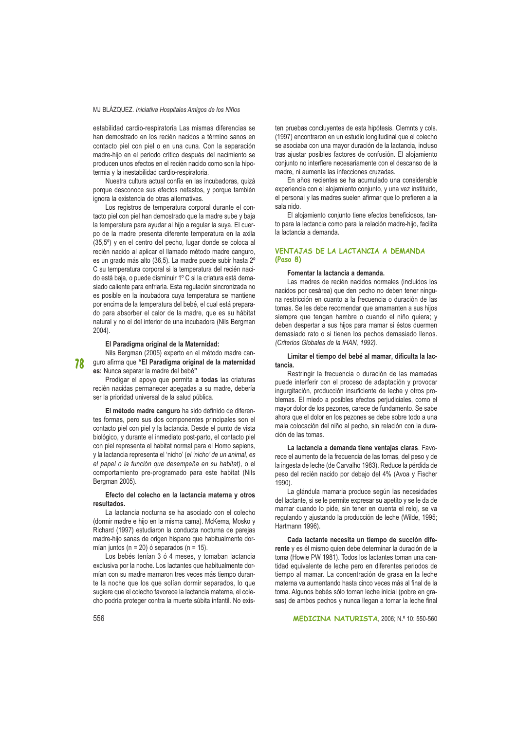estabilidad cardio-respiratoria Las mismas diferencias se han demostrado en los recién nacidos a término sanos en contacto piel con piel o en una cuna. Con la separación madre-hijo en el periodo crítico después del nacimiento se producen unos efectos en el recién nacido como son la hipotermia y la inestabilidad cardio-respiratoria.

Nuestra cultura actual confía en las incubadoras, quizá porque desconoce sus efectos nefastos, y porque también ignora la existencia de otras alternativas.

Los registros de temperatura corporal durante el contacto piel con piel han demostrado que la madre sube y baja la temperatura para ayudar al hijo a regular la suya. El cuerpo de la madre presenta diferente temperatura en la axila (35,5°) y en el centro del pecho, lugar donde se coloca al recién nacido al aplicar el llamado método madre canguro, es un grado más alto (36,5). La madre puede subir hasta 2° C su temperatura corporal si la temperatura del recién nacido está baja, o puede disminuir 1º C si la criatura está demasiado caliente para enfriarla. Esta regulación sincronizada no es posible en la incubadora cuya temperatura se mantiene por encima de la temperatura del bebé, el cual está preparado para absorber el calor de la madre, que es su hábitat natural y no el del interior de una incubadora (Nils Bergman  $2004$ )

#### El Paradigma original de la Maternidad:

Nils Bergman (2005) experto en el método madre can-72 guro afirma que "El Paradigma original de la maternidad es: Nunca separar la madre del bebé"

Prodigar el apoyo que permita a todas las criaturas recién nacidas permanecer apegadas a su madre, debería ser la prioridad universal de la salud pública.

El método madre canguro ha sido definido de diferentes formas, pero sus dos componentes principales son el contacto piel con piel y la lactancia. Desde el punto de vista biológico, y durante el inmediato post-parto, el contacto piel con piel representa el habitat normal para el Homo sapiens, y la lactancia representa el 'nicho' (el 'nicho' de un animal, es el papel o la función que desempeña en su habitat), o el comportamiento pre-programado para este habitat (Nils Beraman 2005).

#### Efecto del colecho en la lactancia materna y otros resultados.

La lactancia nocturna se ha asociado con el colecho (dormir madre e hijo en la misma cama). McKema, Mosko y Richard (1997) estudiaron la conducta nocturna de parejas madre-hijo sanas de origen hispano que habitualmente dormían juntos (n = 20) ó separados (n = 15).

Los bebés tenían 3 ó 4 meses, y tomaban lactancia exclusiva por la noche. Los lactantes que habitualmente dormían con su madre mamaron tres veces más tiempo durante la noche que los que solían dormir separados, lo que sugiere que el colecho favorece la lactancia materna, el colecho podría proteger contra la muerte súbita infantil. No exis-

ten pruebas concluyentes de esta hipótesis. Clemnts y cols. (1997) encontraron en un estudio longitudinal que el colecho se asociaba con una mayor duración de la lactancia, incluso tras aiustar posibles factores de confusión. El alojamiento conjunto no interfiere necesariamente con el descanso de la madre, ni aumenta las infecciones cruzadas.

En años recientes se ha acumulado una considerable experiencia con el alojamiento conjunto, y una vez instituido, el personal y las madres suelen afirmar que lo prefieren a la sala nido

El alojamiento conjunto tiene efectos beneficiosos, tanto para la lactancia como para la relación madre-hijo, facilita la lactancia a demanda.

# VENTAJAS DE LA LACTANCIA A DEMANDA  $(Paso 8)$

# Fomentar la lactancia a demanda.

Las madres de recién nacidos normales (incluidos los nacidos por cesárea) que den pecho no deben tener ninguna restricción en cuanto a la frecuencia o duración de las tomas. Se les debe recomendar que amamanten a sus hijos siempre que tengan hambre o cuando el niño quiera; y deben despertar a sus hijos para mamar si éstos duermen demasiado rato o si tienen los pechos demasiado llenos. (Criterios Globales de la IHAN, 1992).

# Limitar el tiempo del bebé al mamar, dificulta la lactancia

Restringir la frecuencia o duración de las mamadas puede interferir con el proceso de adaptación y provocar ingurgitación, producción insuficiente de leche y otros problemas. El miedo a posibles efectos perjudiciales, como el mayor dolor de los pezones, carece de fundamento. Se sabe ahora que el dolor en los pezones se debe sobre todo a una mala colocación del niño al pecho, sin relación con la duración de las tomas

La lactancia a demanda tiene ventajas claras. Favorece el aumento de la frecuencia de las tomas, del peso y de la ingesta de leche (de Carvalho 1983). Reduce la pérdida de peso del recién nacido por debajo del 4% (Avoa y Fischer 1990).

La glándula mamaria produce según las necesidades del lactante, si se le permite expresar su apetito y se le da de mamar cuando lo pide, sin tener en cuenta el reloi, se va regulando y ajustando la producción de leche (Wilde, 1995; Hartmann 1996).

Cada lactante necesita un tiempo de succión diferente y es él mismo quien debe determinar la duración de la toma (Howie PW 1981). Todos los lactantes toman una cantidad equivalente de leche pero en diferentes periodos de tiempo al mamar. La concentración de grasa en la leche materna va aumentando hasta cinco veces más al final de la toma. Algunos bebés sólo toman leche inicial (pobre en grasas) de ambos pechos y nunca llegan a tomar la leche final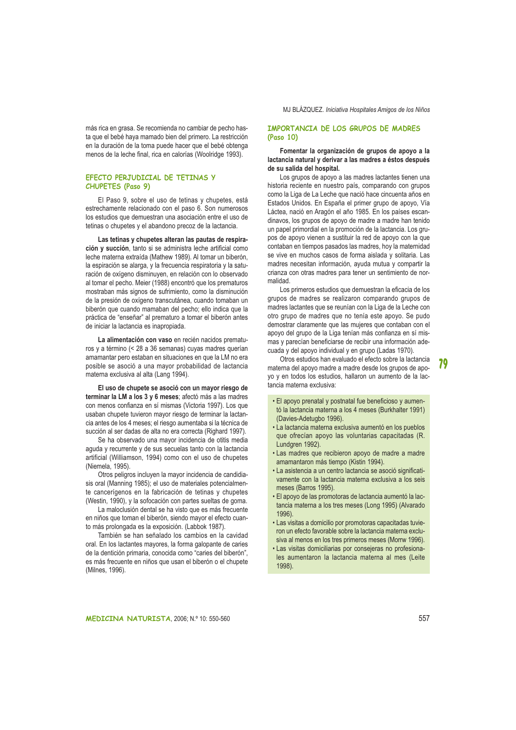más rica en grasa. Se recomienda no cambiar de pecho hasta que el bebé haya mamado bien del primero. La restricción en la duración de la toma puede hacer que el bebé obtenga menos de la leche final, rica en calorías (Woolridge 1993).

# FFFCTO PFRJUDICIAL DF TFTINAS Y CHUPETES (Paso 9)

El Paso 9, sobre el uso de tetinas y chupetes, está estrechamente relacionado con el paso 6. Son numerosos los estudios que demuestran una asociación entre el uso de tetinas o chupetes y el abandono precoz de la lactancia.

Las tetinas y chupetes alteran las pautas de respiración y succión, tanto si se administra leche artificial como leche materna extraída (Mathew 1989). Al tomar un biberón, la espiración se alarga, y la frecuencia respiratoria y la saturación de oxígeno disminuyen, en relación con lo observado al tomar el pecho. Meier (1988) encontró que los prematuros mostraban más signos de sufrimiento, como la disminución de la presión de oxígeno transcutánea, cuando tomaban un biberón que cuando mamaban del pecho; ello indica que la práctica de "enseñar" al prematuro a tomar el biberón antes de iniciar la lactancia es inapropiada.

La alimentación con vaso en recién nacidos prematuros y a término (< 28 a 36 semanas) cuyas madres querían amamantar pero estaban en situaciones en que la LM no era posible se asoció a una mayor probabilidad de lactancia materna exclusiva al alta (Lang 1994).

El uso de chupete se asoció con un mayor riesgo de terminar la LM a los 3 v 6 meses: afectó más a las madres con menos confianza en sí mismas (Victoria 1997). Los que usaban chupete tuvieron mayor riesgo de terminar la lactancia antes de los 4 meses; el riesgo aumentaba si la técnica de succión al ser dadas de alta no era correcta (Righard 1997).

Se ha observado una mayor incidencia de otitis media aguda y recurrente y de sus secuelas tanto con la lactancia artificial (Williamson, 1994) como con el uso de chupetes (Niemela, 1995).

Otros peligros incluven la mayor incidencia de candidiasis oral (Manning 1985); el uso de materiales potencialmente cancerígenos en la fabricación de tetinas y chupetes (Westin, 1990), y la sofocación con partes sueltas de goma.

La maloclusión dental se ha visto que es más frecuente en niños que toman el biberón, siendo mayor el efecto cuanto más prolongada es la exposición. (Labbok 1987).

También se han señalado los cambios en la cavidad oral. En los lactantes mayores, la forma galopante de caries de la dentición primaria, conocida como "caries del biberón", es más frecuente en niños que usan el biberón o el chupete (Milnes, 1996).

# IMPORTANCIA DE LOS GRUPOS DE MADRES  $(Paso 10)$

# Fomentar la organización de grupos de apovo a la lactancia natural y derivar a las madres a éstos después de su salida del hospital.

Los grupos de apovo a las madres lactantes tienen una historia reciente en nuestro país, comparando con grupos como la Liga de La Leche que nació hace cincuenta años en Estados Unidos. En España el primer grupo de apoyo, Vía Láctea, nació en Aragón el año 1985. En los países escandinavos, los grupos de apoyo de madre a madre han tenido un papel primordial en la promoción de la lactancia. Los grupos de apoyo vienen a sustituir la red de apoyo con la que contaban en tiempos pasados las madres hoy la maternidad se vive en muchos casos de forma aislada y solitaria. Las madres necesitan información, ayuda mutua y compartir la crianza con otras madres para tener un sentimiento de norhebilem

Los primeros estudios que demuestran la eficacia de los grupos de madres se realizaron comparando grupos de madres lactantes que se reunían con la Liga de la Leche con otro grupo de madres que no tenía este apoyo. Se pudo demostrar claramente que las mujeres que contaban con el apoyo del grupo de la Liga tenían más confianza en sí mismas y parecían beneficiarse de recibir una información adecuada y del apoyo individual y en grupo (Ladas 1970).

Otros estudios han evaluado el efecto sobre la lactancia materna del apovo madre a madre desde los grupos de apoyo y en todos los estudios, hallaron un aumento de la lactancia materna exclusiva:

- . El apoyo prenatal y postnatal fue beneficioso y aumentó la lactancia materna a los 4 meses (Burkhalter 1991) (Davies-Adetugbo 1996).
- · La lactancia materna exclusiva aumentó en los pueblos que ofrecían apovo las voluntarias capacitadas (R. Lundgren 1992).
- · Las madres que recibieron apoyo de madre a madre amamantaron más tiempo (Kistin 1994).
- La asistencia a un centro lactancia se asoció significativamente con la lactancia materna exclusiva a los seis meses (Barros 1995).
- · El apoyo de las promotoras de lactancia aumentó la lactancia materna a los tres meses (Long 1995) (Alvarado  $1996$
- Las visitas a domicilio por promotoras capacitadas tuvieron un efecto favorable sobre la lactancia materna exclusiva al menos en los tres primeros meses (Morrw 1996).
- · Las visitas domiciliarias por consejeras no profesionales aumentaron la lactancia materna al mes (Leite 1998).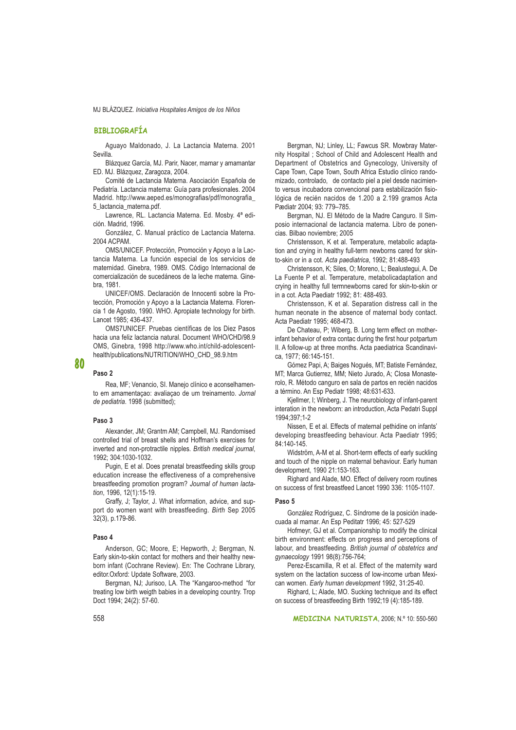# **BIBLIOGRAFÍA**

Aguayo Maldonado, J. La Lactancia Materna. 2001 Sevilla

Blázquez García, MJ. Parir, Nacer, mamar y amamantar ED. MJ. Blázquez, Zaragoza, 2004.

Comité de Lactancia Materna. Asociación Española de Pediatría. Lactancia materna: Guía para profesionales. 2004 Madrid. http://www.aeped.es/monografias/pdf/monografia 5 lactancia materna.pdf.

Lawrence, RL. Lactancia Materna. Ed. Mosby. 4ª edición. Madrid, 1996.

González, C. Manual práctico de Lactancia Materna. 2004 ACPAM.

OMS/UNICEF. Protección, Promoción y Apoyo a la Lactancia Materna. La función especial de los servicios de maternidad. Ginebra, 1989. OMS. Código Internacional de comercialización de sucedáneos de la leche materna. Ginehra 1981

UNICEF/OMS. Declaración de Innocenti sobre la Protección, Promoción y Apoyo a la Lactancia Materna. Florencia 1 de Agosto, 1990. WHO. Apropiate technology for birth. Lancet 1985: 436-437.

OMS7UNICEF. Pruebas científicas de los Diez Pasos hacia una feliz lactancia natural. Document WHO/CHD/98.9 OMS, Ginebra, 1998 http://www.who.int/child-adolescenthealth/publications/NUTRITION/WHO\_CHD\_98.9.htm

#### Paso<sub>2</sub>

80

Rea, MF; Venancio, SI. Manejo clínico e aconselhamento em amamentação: avaliação de um treinamento. Jornal de pediatria. 1998 (submitted);

#### Paso 3

Alexander, JM; Grantm AM; Campbell, MJ. Randomised controlled trial of breast shells and Hoffman's exercises for inverted and non-protractile nipples. British medical journal, 1992; 304:1030-1032.

Pugin, E et al. Does prenatal breastfeeding skills group education increase the effectiveness of a comprehensive breastfeeding promotion program? Journal of human lactation, 1996, 12(1):15-19.

Graffy, J; Taylor, J. What information, advice, and support do women want with breastfeeding. Birth Sep 2005 32(3), p.179-86.

#### Paso 4

Anderson, GC; Moore, E: Hepworth, J; Bergman, N. Early skin-to-skin contact for mothers and their healthy newborn infant (Cochrane Review). En: The Cochrane Library, editor.Oxford: Update Software, 2003.

Bergman, NJ; Jurisoo, LA. The "Kangaroo-method "for treating low birth weigth babies in a developing country. Trop Doct 1994; 24(2): 57-60.

Bergman, NJ; Linley, LL; Fawcus SR. Mowbray Maternity Hospital ; School of Child and Adolescent Health and Department of Obstetrics and Gynecology, University of Cape Town, Cape Town, South Africa Estudio clínico randomizado, controlado, de contacto piel a piel desde nacimiento versus incubadora convencional para estabilización fisiológica de recién nacidos de 1.200 a 2.199 gramos Acta Pædiatr 2004: 93: 779-785.

Bergman, NJ. El Método de la Madre Canguro. Il Simposio internacional de lactancia materna. Libro de ponencias. Bilbao noviembre: 2005

Christensson, K et al. Temperature, metabolic adaptation and crying in healthy full-term newborns cared for skinto-skin or in a cot. Acta paediatrica, 1992; 81:488-493

Christensson, K; Siles, O; Moreno, L; Bealustegui, A. De La Fuente P et al. Temperature, metabolicadaptation and crying in healthy full termnewborns cared for skin-to-skin or in a cot. Acta Paediatr 1992: 81: 488-493.

Christensson, K et al. Separation distress call in the human neonate in the absence of maternal body contact. Acta Paediatr 1995; 468-473.

De Chateau, P; Wiberg, B. Long term effect on motherinfant behavior of extra contac during the first hour potpartum II. A follow-up at three months. Acta paediatrica Scandinavica. 1977: 66:145-151.

Gómez Papi, A; Baiges Nogués, MT; Batiste Fernández, MT; Marca Gutierrez, MM; Nieto Jurado, A; Closa Monasterolo, R. Método canguro en sala de partos en recién nacidos a término. An Esp Pediatr 1998; 48:631-633.

Kjellmer, I; Winberg, J. The neurobiology of infant-parent interation in the newborn: an introduction, Acta Pedatri Suppl 1994;397;1-2

Nissen. E et al. Effects of maternal pethidine on infants' developing breastfeeding behaviour. Acta Paediatr 1995; 84:140-145

Widström, A-M et al. Short-term effects of early suckling and touch of the nipple on maternal behaviour. Early human development, 1990 21:153-163.

Righard and Alade, MO. Effect of delivery room routines on success of first breastfeed Lancet 1990 336: 1105-1107.

#### Paso 5

González Rodríguez, C. Síndrome de la posición inadecuada al mamar. An Esp Peditatr 1996: 45: 527-529

Hofmeyr, GJ et al. Companionship to modify the clinical birth environment: effects on progress and perceptions of labour, and breastfeeding. British journal of obstetrics and avnaecology 1991 98(8):756-764:

Perez-Escamilla, R et al. Effect of the maternity ward system on the lactation success of low-income urban Mexican women. Early human development 1992, 31:25-40.

Righard, L: Alade, MO, Sucking technique and its effect on success of breastfeeding Birth 1992;19 (4):185-189.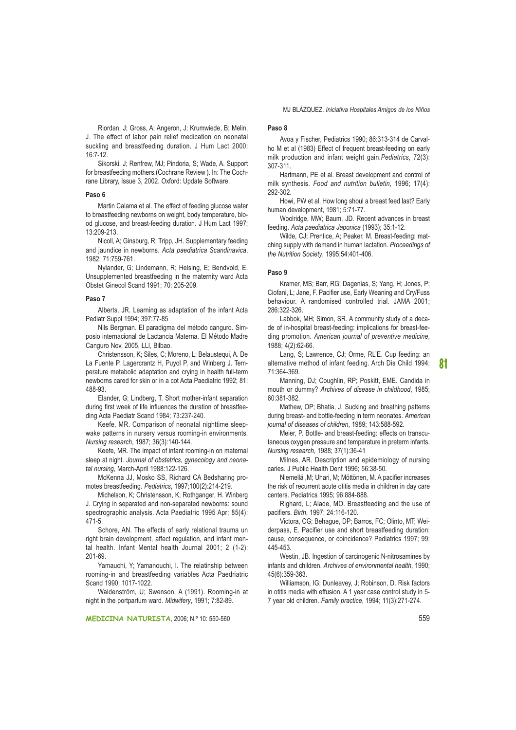Riordan, J; Gross, A; Angeron, J; Krumwiede, B; Melin, J. The effect of labor pain relief medication on neonatal suckling and breastfeeding duration. J Hum Lact 2000;  $16:7-12.$ 

Sikorski, J: Renfrew, MJ: Pindoria, S: Wade, A. Support for breastfeeding mothers.(Cochrane Review). In: The Cochrane Library, Issue 3, 2002. Oxford: Update Software.

#### Paso 6

Martin Calama et al. The effect of feeding glucose water to breastfeeding newborns on weight, body temperature, blood glucose, and breast-feeding duration. J Hum Lact 1997; 13:209-213.

Nicoll, A; Ginsburg, R; Tripp, JH. Supplementary feeding and jaundice in newborns. Acta paediatrica Scandinavica, 1982: 71:759-761

Nylander, G; Lindemann, R; Helsing, E; Bendvold, E. Unsupplemented breastfeeding in the maternity ward Acta Obstet Ginecol Scand 1991; 70; 205-209.

#### Paso 7

Alberts, JR. Learning as adaptation of the infant Acta Pediatr Suppl 1994: 397:77-85

Nils Bergman. El paradigma del método canguro. Simposio internacional de Lactancia Materna. El Método Madre Canguro Nov, 2005, LLI, Bilbao.

Christensson, K; Siles, C; Moreno, L; Belaustequi, A. De La Fuente P. Lagercrantz H. Puvol P. and Winberg J. Temperature metabolic adaptation and crying in health full-term newborns cared for skin or in a cot Acta Paediatric 1992: 81: 488-93

Elander, G; Lindberg, T. Short mother-infant separation during first week of life influences the duration of breastfeeding Acta Paediatr Scand 1984; 73:237-240.

Keefe, MR. Comparison of neonatal nighttime sleepwake patterns in nursery versus rooming-in environments. Nursing research, 1987; 36(3):140-144.

Keefe, MR. The impact of infant rooming-in on maternal sleep at night. Journal of obstetrics, gynecology and neonatal nursing, March-April 1988:122-126.

McKenna JJ. Mosko SS. Richard CA Bedsharing promotes breastfeeding. Pediatrics, 1997;100(2):214-219.

Michelson, K; Christensson, K; Rothganger, H. Winberg J. Crying in separated and non-separated newborns: sound spectrographic analysis. Acta Paediatric 1995 Apr; 85(4):  $471 - 5$ 

Schore, AN. The effects of early relational trauma un right brain development, affect regulation, and infant mental health. Infant Mental health Journal 2001; 2 (1-2): 201-69

Yamauchi, Y; Yamanouchi, I. The relatinship between rooming-in and breastfeeding variables Acta Paedriatric Scand 1990: 1017-1022

Waldenström. U: Swenson. A (1991). Rooming-in at night in the portpartum ward. Midwifery, 1991; 7:82-89.

#### MEDICINA NATURISTA, 2006; N.º 10: 550-560

#### Paso 8

Avoa y Fischer, Pediatrics 1990; 86:313-314 de Carvalho M et al (1983) Effect of frequent breast-feeding on early milk production and infant weight gain. Pediatrics, 72(3): 307-311.

Hartmann, PE et al. Breast development and control of milk synthesis. Food and nutrition bulletin, 1996; 17(4): 292-302

Howi, PW et al. How long shoul a breast feed last? Early human development, 1981; 5:71-77.

Woolridge, MW; Baum, JD. Recent advances in breast feeding. Acta paediatrica Japonica (1993); 35:1-12.

Wilde, CJ: Prentice, A: Peaker, M. Breast-feeding: matching supply with demand in human lactation. Proceedings of the Nutrition Society, 1995;54:401-406.

#### Paso 9

Kramer, MS; Barr, RG; Dagenias, S; Yang, H; Jones, P; Ciofani, L; Jane, F. Pacifier use, Early Weaning and Cry/Fuss behaviour. A randomised controlled trial. JAMA 2001; 286:322-326

Labbok, MH: Simon, SR, A community study of a decade of in-hospital breast-feeding: implications for breast-feeding promotion. American journal of preventive medicine, 1988: 4(2):62-66.

Lang, S; Lawrence, CJ; Orme, RL'E. Cup feeding: an alternative method of infant feeding. Arch Dis Child 1994: 71:364-369.

Manning, DJ; Coughlin, RP; Poskitt, EME. Candida in mouth or dummy? Archives of disease in childhood, 1985; 60:381-382.

Mathew, OP; Bhatia, J. Sucking and breathing patterns during breast- and bottle-feeding in term neonates. American journal of diseases of children, 1989; 143:588-592.

Meier. P. Bottle- and breast-feeding: effects on transcutaneous oxygen pressure and temperature in preterm infants. Nursing research, 1988; 37(1):36-41

Milnes, AR. Description and epidemiology of nursing caries. J Public Health Dent 1996; 56:38-50.

Niemellä .M: Uhari. M: Möttönen. M. A pacifier increases the risk of recurrent acute otitis media in children in day care centers. Pediatrics 1995: 96:884-888.

Righard, L; Alade, MO. Breastfeeding and the use of pacifiers. Birth, 1997; 24:116-120.

Victora, CG; Behague, DP; Barros, FC; Olinto, MT; Weiderpass, E. Pacifier use and short breastfeeding duration: cause, consequence, or coincidence? Pediatrics 1997; 99: 445-453

Westin, JB. Ingestion of carcinogenic N-nitrosamines by infants and children. Archives of environmental health, 1990; 45(6):359-363.

Williamson, IG; Dunleavey, J; Robinson, D. Risk factors in otitis media with effusion. A 1 year case control study in 5-7 year old children. Family practice, 1994; 11(3):271-274.